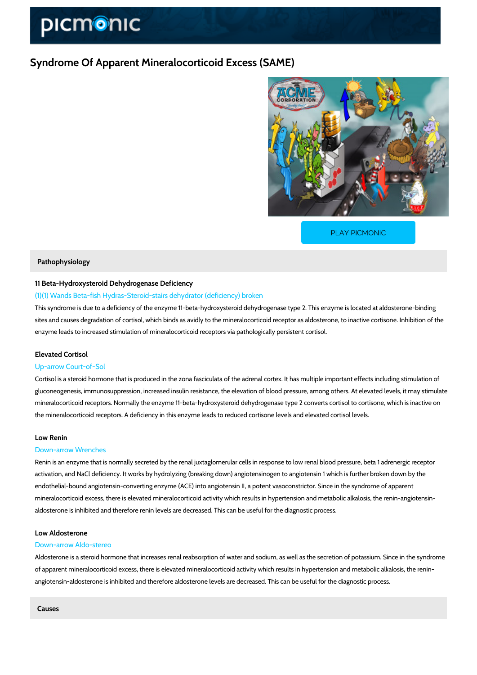# Syndrome Of Apparent Mineralocorticoid Excess (SAME)

[PLAY PICMONIC](https://www.picmonic.com/learn/syndrome-of-apparent-mineralocorticoid-excess-same_50075?utm_source=downloadable_content&utm_medium=distributedcontent&utm_campaign=pathways_pdf&utm_content=Syndrome Of Apparent Mineralocorticoid Excess (SAME)&utm_ad_group=leads&utm_market=all)

## Pathophysiology

# 11 Beta-Hydroxysteroid Dehydrogenase Deficiency

## (1)(1) Wands Beta-fish Hydras-Steroid-stairs dehydrator (deficiency) broken

This syndrome is due to a deficiency of the enzyme 11-beta-hydroxysteroid dehydrogenase typ sites and causes degradation of cortisol, which binds as avidly to the mineralocorticoid recep enzyme leads to increased stimulation of mineralocorticoid receptors via pathologically persis

## Elevated Cortisol

## Up-arrow Court-of-Sol

Cortisol is a steroid hormone that is produced in the zona fasciculata of the adrenal cortex. I gluconeogenesis, immunosuppression, increased insulin resistance, the elevation of blood pre mineralocorticoid receptors. Normally the enzyme 11-beta-hydroxysteroid dehydrogenase type the mineralocorticoid receptors. A deficiency in this enzyme leads to reduced cortisone levels

### Low Renin

## Down-arrow Wrenches

Renin is an enzyme that is normally secreted by the renal juxtaglomerular cells in response to activation, and NaCl deficiency. It works by hydrolyzing (breaking down) angiotensinogen to a endothelial-bound angiotensin-converting enzyme (ACE) into angiotensin II, a potent vasocons mineralocorticoid excess, there is elevated mineralocorticoid activity which results in hyperte aldosterone is inhibited and therefore renin levels are decreased. This can be useful for the diagnostic proces

### Low Aldosterone

## Down-arrow Aldo-stereo

Aldosterone is a steroid hormone that increases renal reabsorption of water and sodium, as w of apparent mineralocorticoid excess, there is elevated mineralocorticoid activity which result angiotensin-aldosterone is inhibited and therefore aldosterone levels are decreased. This can